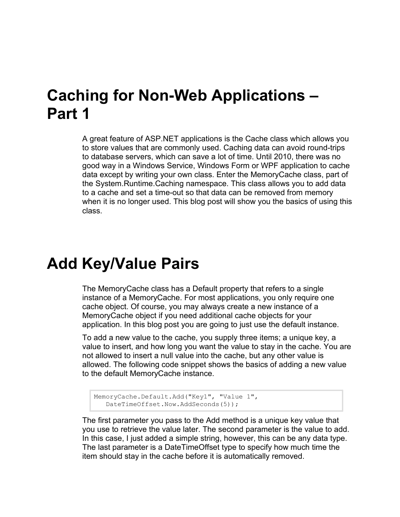# **Caching for Non-Web Applications – Part 1**

A great feature of ASP.NET applications is the Cache class which allows you to store values that are commonly used. Caching data can avoid round-trips to database servers, which can save a lot of time. Until 2010, there was no good way in a Windows Service, Windows Form or WPF application to cache data except by writing your own class. Enter the MemoryCache class, part of the System.Runtime.Caching namespace. This class allows you to add data to a cache and set a time-out so that data can be removed from memory when it is no longer used. This blog post will show you the basics of using this class.

### **Add Key/Value Pairs**

The MemoryCache class has a Default property that refers to a single instance of a MemoryCache. For most applications, you only require one cache object. Of course, you may always create a new instance of a MemoryCache object if you need additional cache objects for your application. In this blog post you are going to just use the default instance.

To add a new value to the cache, you supply three items; a unique key, a value to insert, and how long you want the value to stay in the cache. You are not allowed to insert a null value into the cache, but any other value is allowed. The following code snippet shows the basics of adding a new value to the default MemoryCache instance.

```
MemoryCache.Default.Add("Key1", "Value 1",
    DateTimeOffset.Now.AddSeconds(5));
```
The first parameter you pass to the Add method is a unique key value that you use to retrieve the value later. The second parameter is the value to add. In this case, I just added a simple string, however, this can be any data type. The last parameter is a DateTimeOffset type to specify how much time the item should stay in the cache before it is automatically removed.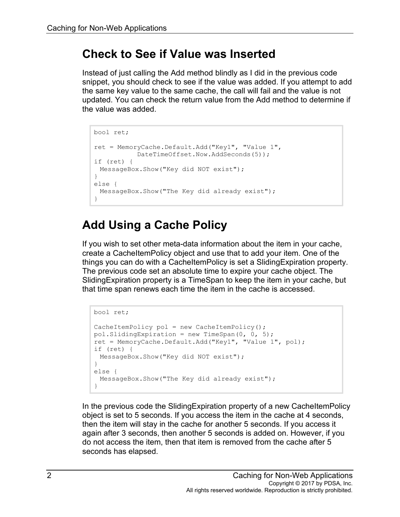#### **Check to See if Value was Inserted**

Instead of just calling the Add method blindly as I did in the previous code snippet, you should check to see if the value was added. If you attempt to add the same key value to the same cache, the call will fail and the value is not updated. You can check the return value from the Add method to determine if the value was added.

```
bool ret;
ret = MemoryCache.Default.Add("Key1", "Value 1", 
            DateTimeOffset.Now.AddSeconds(5));
if (ret) {
MessageBox.Show("Key did NOT exist");
}
else {
 MessageBox.Show("The Key did already exist");
}
```
#### **Add Using a Cache Policy**

If you wish to set other meta-data information about the item in your cache, create a CacheItemPolicy object and use that to add your item. One of the things you can do with a CacheItemPolicy is set a SlidingExpiration property. The previous code set an absolute time to expire your cache object. The SlidingExpiration property is a TimeSpan to keep the item in your cache, but that time span renews each time the item in the cache is accessed.

```
bool ret;
CacheItemPolicy pol = new CacheItemPolicy();
pol.SlidingExpiration = new TimeSpan(0, 0, 5);
ret = MemoryCache.Default.Add("Key1", "Value 1", pol);
if (ret) {
MessageBox.Show("Key did NOT exist");
}
else {
 MessageBox.Show("The Key did already exist");
}
```
In the previous code the SlidingExpiration property of a new CacheItemPolicy object is set to 5 seconds. If you access the item in the cache at 4 seconds, then the item will stay in the cache for another 5 seconds. If you access it again after 3 seconds, then another 5 seconds is added on. However, if you do not access the item, then that item is removed from the cache after 5 seconds has elapsed.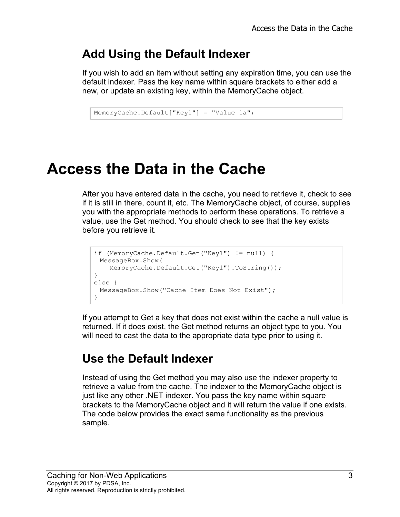#### **Add Using the Default Indexer**

If you wish to add an item without setting any expiration time, you can use the default indexer. Pass the key name within square brackets to either add a new, or update an existing key, within the MemoryCache object.

```
MemoryCache.Default["Key1"] = "Value 1a";
```
# **Access the Data in the Cache**

After you have entered data in the cache, you need to retrieve it, check to see if it is still in there, count it, etc. The MemoryCache object, of course, supplies you with the appropriate methods to perform these operations. To retrieve a value, use the Get method. You should check to see that the key exists before you retrieve it.

```
if (MemoryCache.Default.Get("Key1") != null) {
 MessageBox.Show(
   MemoryCache.Default.Get("Key1").ToString());
}
else {
 MessageBox.Show("Cache Item Does Not Exist");
}
```
If you attempt to Get a key that does not exist within the cache a null value is returned. If it does exist, the Get method returns an object type to you. You will need to cast the data to the appropriate data type prior to using it.

#### **Use the Default Indexer**

Instead of using the Get method you may also use the indexer property to retrieve a value from the cache. The indexer to the MemoryCache object is just like any other .NET indexer. You pass the key name within square brackets to the MemoryCache object and it will return the value if one exists. The code below provides the exact same functionality as the previous sample.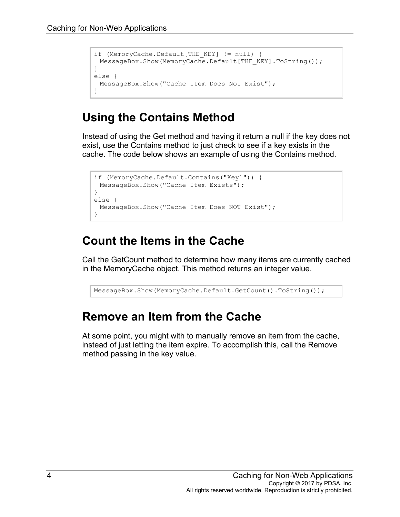```
if (MemoryCache.Default[THE_KEY] != null) {
 MessageBox.Show(MemoryCache.Default[THE_KEY].ToString());
}
else {
 MessageBox.Show("Cache Item Does Not Exist");
}
```
#### **Using the Contains Method**

Instead of using the Get method and having it return a null if the key does not exist, use the Contains method to just check to see if a key exists in the cache. The code below shows an example of using the Contains method.

```
if (MemoryCache.Default.Contains("Key1")) {
 MessageBox.Show("Cache Item Exists");
}
else {
 MessageBox.Show("Cache Item Does NOT Exist");
}
```
#### **Count the Items in the Cache**

Call the GetCount method to determine how many items are currently cached in the MemoryCache object. This method returns an integer value.

```
MessageBox.Show(MemoryCache.Default.GetCount().ToString());
```
#### **Remove an Item from the Cache**

At some point, you might with to manually remove an item from the cache, instead of just letting the item expire. To accomplish this, call the Remove method passing in the key value.